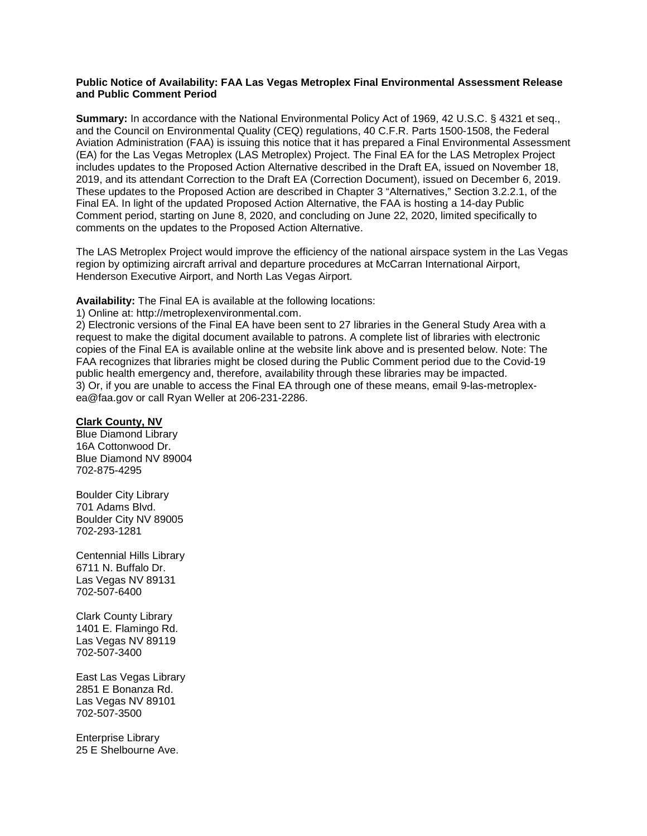#### **Public Notice of Availability: FAA Las Vegas Metroplex Final Environmental Assessment Release and Public Comment Period**

**Summary:** In accordance with the National Environmental Policy Act of 1969, 42 U.S.C. § 4321 et seq., and the Council on Environmental Quality (CEQ) regulations, 40 C.F.R. Parts 1500-1508, the Federal Aviation Administration (FAA) is issuing this notice that it has prepared a Final Environmental Assessment (EA) for the Las Vegas Metroplex (LAS Metroplex) Project. The Final EA for the LAS Metroplex Project includes updates to the Proposed Action Alternative described in the Draft EA, issued on November 18, 2019, and its attendant Correction to the Draft EA (Correction Document), issued on December 6, 2019. These updates to the Proposed Action are described in Chapter 3 "Alternatives," Section 3.2.2.1, of the Final EA. In light of the updated Proposed Action Alternative, the FAA is hosting a 14-day Public Comment period, starting on June 8, 2020, and concluding on June 22, 2020, limited specifically to comments on the updates to the Proposed Action Alternative.

The LAS Metroplex Project would improve the efficiency of the national airspace system in the Las Vegas region by optimizing aircraft arrival and departure procedures at McCarran International Airport, Henderson Executive Airport, and North Las Vegas Airport.

**Availability:** The Final EA is available at the following locations:

1) Online at: http://metroplexenvironmental.com.

2) Electronic versions of the Final EA have been sent to 27 libraries in the General Study Area with a request to make the digital document available to patrons. A complete list of libraries with electronic copies of the Final EA is available online at the website link above and is presented below. Note: The FAA recognizes that libraries might be closed during the Public Comment period due to the Covid-19 public health emergency and, therefore, availability through these libraries may be impacted. 3) Or, if you are unable to access the Final EA through one of these means, email 9-las-metroplexea@faa.gov or call Ryan Weller at 206-231-2286.

#### **Clark County, NV**

Blue Diamond Library 16A Cottonwood Dr. Blue Diamond NV 89004 702-875-4295

Boulder City Library 701 Adams Blvd. Boulder City NV 89005 702-293-1281

Centennial Hills Library 6711 N. Buffalo Dr. Las Vegas NV 89131 702-507-6400

Clark County Library 1401 E. Flamingo Rd. Las Vegas NV 89119 702-507-3400

East Las Vegas Library 2851 E Bonanza Rd. Las Vegas NV 89101 702-507-3500

Enterprise Library 25 E Shelbourne Ave.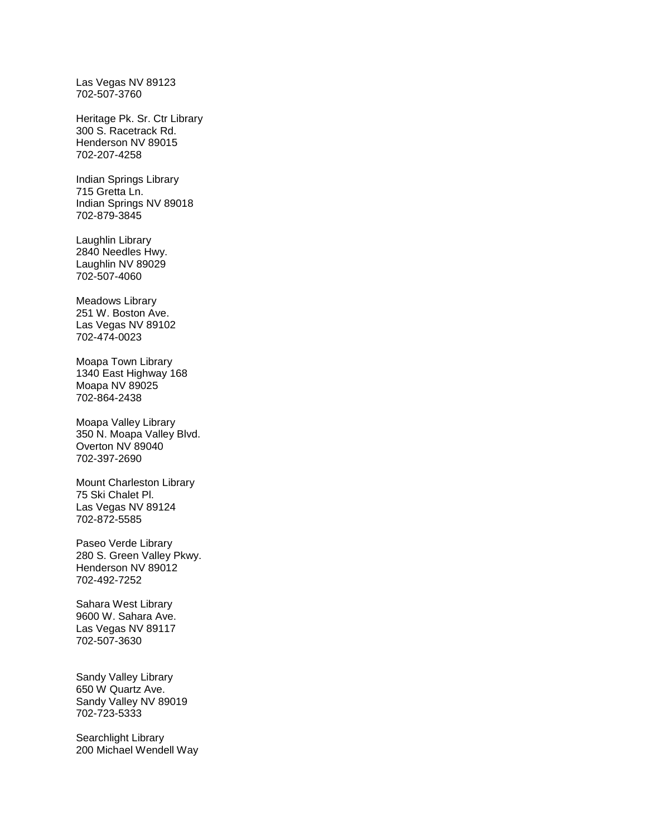Las Vegas NV 89123 702-507-3760

Heritage Pk. Sr. Ctr Library 300 S. Racetrack Rd. Henderson NV 89015 702-207-4258

Indian Springs Library 715 Gretta Ln. Indian Springs NV 89018 702-879-3845

Laughlin Library 2840 Needles Hwy. Laughlin NV 89029 702-507-4060

Meadows Library 251 W. Boston Ave. Las Vegas NV 89102 702-474-0023

Moapa Town Library 1340 East Highway 168 Moapa NV 89025 702-864-2438

Moapa Valley Library 350 N. Moapa Valley Blvd. Overton NV 89040 702-397-2690

Mount Charleston Library 75 Ski Chalet Pl. Las Vegas NV 89124 702-872-5585

Paseo Verde Library 280 S. Green Valley Pkwy. Henderson NV 89012 702-492-7252

Sahara West Library 9600 W. Sahara Ave. Las Vegas NV 89117 702-507-3630

Sandy Valley Library 650 W Quartz Ave. Sandy Valley NV 89019 702-723-5333

Searchlight Library 200 Michael Wendell Way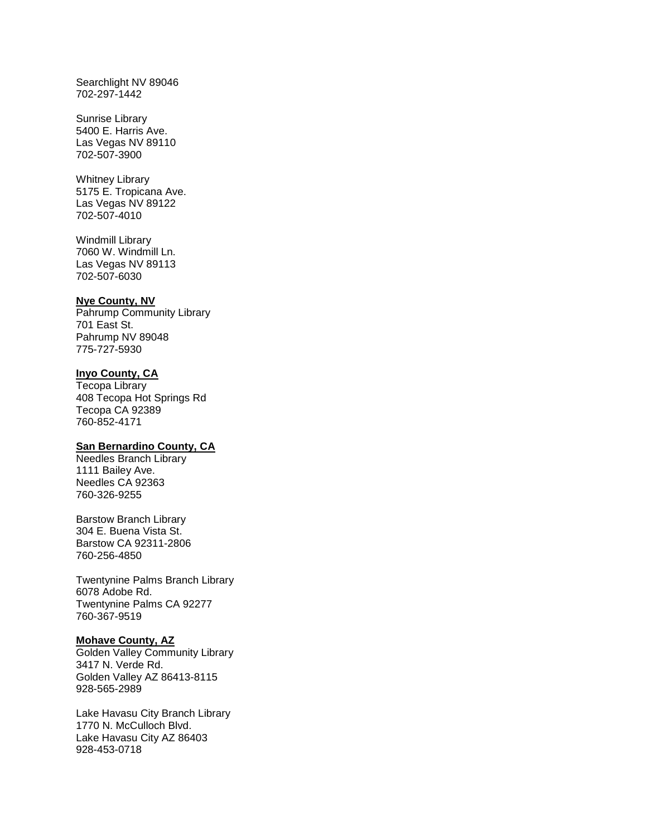Searchlight NV 89046 702-297-1442

Sunrise Library 5400 E. Harris Ave. Las Vegas NV 89110 702-507-3900

Whitney Library 5175 E. Tropicana Ave. Las Vegas NV 89122 702-507-4010

Windmill Library 7060 W. Windmill Ln. Las Vegas NV 89113 702-507-6030

#### **Nye County, NV**

Pahrump Community Library 701 East St. Pahrump NV 89048 775-727-5930

## **Inyo County, CA**

Tecopa Library 408 Tecopa Hot Springs Rd Tecopa CA 92389 760-852-4171

# **San Bernardino County, CA**

Needles Branch Library 1111 Bailey Ave. Needles CA 92363 760-326-9255

Barstow Branch Library 304 E. Buena Vista St. Barstow CA 92311-2806 760-256-4850

Twentynine Palms Branch Library 6078 Adobe Rd. Twentynine Palms CA 92277 760-367-9519

# **Mohave County, AZ**

Golden Valley Community Library 3417 N. Verde Rd. Golden Valley AZ 86413-8115 928-565-2989

Lake Havasu City Branch Library 1770 N. McCulloch Blvd. Lake Havasu City AZ 86403 928-453-0718